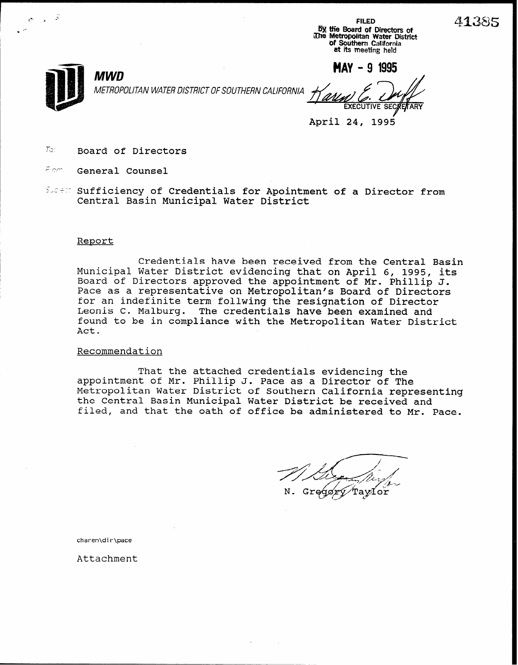FILED oy the Board of Directors of<br>The Metropolitan Water Distric<br>Of Southern California at its meeting held



METROPOLITAN WATER DISTRICT OF SOUTHERN CALIFORNIA

 $MWD$  MAY - 9 1995 **EXECUTIVE** 

April 24, 1995

- $T$  $\circ$ : Board of Directors
- fiem. General Counsel
- Sident Sufficiency of Credentials for Apointment of a Director from Central Basin Municipal Water District

#### Report

Credentials have been received from the Central Basin Municipal Water District evidencing that on April 6, 1995, its Board of Directors approved the appointment of Mr. Phillip J. Pace as a representative on Metropolitan's Board of Directors for an indefinite term follwing the resignation of Director Leonis C. Malburg. The credentials have been examined and found to be in compliance with the Metropolitan Water District Act.

#### Recommendation

That the attached credentials evidencing the appointment of Mr. Phillip J. Pace as a Director of The Metropolitan Water District of Southern California representing the Central Basin Municipal Water District be received and filed, and that the oath of office be administered to Mr. Pace.

Taylor

charen\dir\pace

Attachment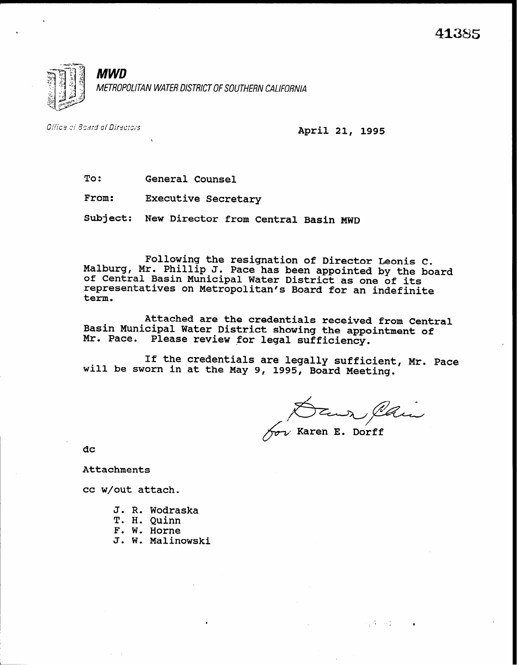

Office of Board of Directors

April 21, 1995

To: General Counsel

From: Executive Secretary

Subject: New Director from Central Basin MWD

Following the resignation of Director Leonis C. Malburg, Mr. Phillip J. Pace has been appointed by the board<br>of Central Basin Municipal Water District as one of its representatives on Municipal Water District as one of its<br>representatives on Metropolitan's Board for an indefinite term.

Attached are the credentials received from Central Basin Municipal Water District showing the appointment of Mr. Pace. Please review for legal sufficiency.

If the credentials are legally sufficient, Mr. Pace will be sworn in at the May 9, 1995, Board Meeting.

Daux Clair

 $\sim 10^{-1}$  and

dc

Attachments

cc w/out attach.

- J. R. Wodraska T. H. Quinn
- F. W. Horne
- J. W. Malinowski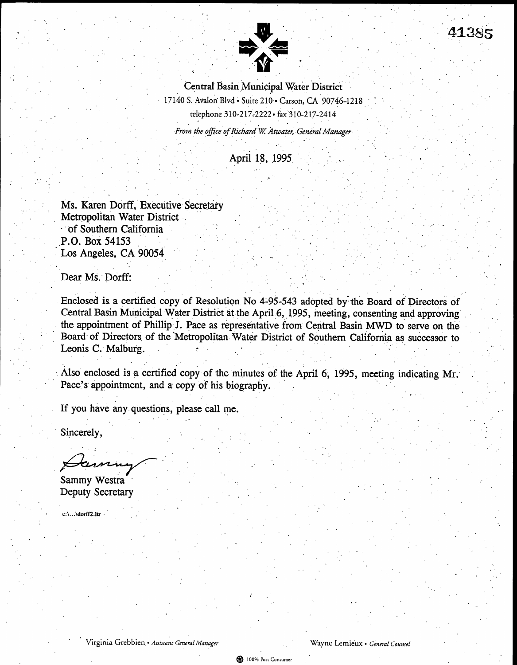

. .

.

. .

 $\mathbf{r}$ 

. The contribution of the contribution of the contribution  $\mathcal{L}_\mathcal{A}$ 

Central Basin Municipal Water District 17140 S. Avalon Blvd · Suite 210 · Carson, CA 90746-1218 telephone 310-217-2222. fax 310-217-2414 From the office of Richard W Atwater, General Manager . ..

.

41385

,. .

'.

 $\mathcal{L} = \mathcal{L} \left( \mathcal{L} \right)$  , where  $\mathcal{L} = \mathcal{L} \left( \mathcal{L} \right)$ 

. .

 $\mathcal{I}^{\mathcal{I}}$ 

. .

 $\mathcal{L}^{\mathcal{L}}$  . The set of  $\mathcal{L}^{\mathcal{L}}$ . .

,. . 1 . .- . ,. , .

.

. . . : the state of the state of the state of the state of the state of the state of the state of the state of the state of the state of the state of the state of the state of the state of the state of the state of the state o

**April 18, 1995** 

:.

. In the contribution of the contribution  $\mathcal{L}^{\mathcal{L}}$  , we can express the contribution of the contribution of the contribution of the contribution of the contribution of the contribution of the contribution of the co

, .

.

- \*,. . ., .a ' ..,.,. . \_. . . ,

.  $\mathbb{R}^2$ 

.  $\mathcal{L}$ 

. The simulation of the simulation of the simulation of the simulation of the simulation of the simulation of the simulation of the simulation of the simulation of the simulation of the simulation of the simulation of the

.. . . . \* : . . . ,, \_

 $\mathcal{L}^{\mathcal{L}}$  ,  $\mathcal{L}^{\mathcal{L}}$  ,  $\mathcal{L}^{\mathcal{L}}$  ,  $\mathcal{L}^{\mathcal{L}}$  ,  $\mathcal{L}^{\mathcal{L}}$  ,  $\mathcal{L}^{\mathcal{L}}$ 

.'... \* : . .

Ms. Karen Dorff, Executive Secretary Metropolitan Water District . of Southern California P.O. Box 54153 Los Angeles, CA 90054

Dear Ms:Dorffz \_ : : . . . , where  $\mathcal{L} = \{ \mathcal{L} \in \mathcal{L} \mid \mathcal{L} \in \mathcal{L} \}$  , where  $\mathcal{L} = \{ \mathcal{L} \mid \mathcal{L} \in \mathcal{L} \}$  , where  $\mathcal{L} = \{ \mathcal{L} \mid \mathcal{L} \in \mathcal{L} \}$ 

. . . .

 $\sim$ 

 $\mathbf{I} = \mathbf{I} \times \mathbf{I}$  . In the set of  $\mathbf{I} = \mathbf{I} \times \mathbf{I}$ 

.

.

. .

> Enclosed is a certified copy of Resolution No 4-95-543 adopted by the Board of Directors of Central Basin Municipal Water District at the April 6, 1995, meeting, consenting and approving the appointment of Phillip J. Pace as representative from Central Basin MWD to serve on the Board- of Directors of the Metropolitan Water District of Southern California as successor to Leonis C: Malburg.  $\mathcal{L}_{\mathcal{A}}$

> Also enclosed is a certified copy of the minutes of the April 6, 1995, meeting indicating Mr. Pace's appointment, and a copy of his biography.

If you have any,  $q_1$  is the angle  $q_2$  $\blacksquare$  .  $\blacksquare$  .  $\blacksquare$  .  $\blacksquare$  .  $\blacksquare$  .  $\blacksquare$  .  $\blacksquare$  .  $\blacksquare$  .  $\blacksquare$  .  $\blacksquare$  .  $\blacksquare$  .  $\blacksquare$  .  $\blacksquare$  .  $\blacksquare$  .  $\blacksquare$  .  $\blacksquare$  .  $\blacksquare$  .  $\blacksquare$  .  $\blacksquare$  .  $\blacksquare$  .  $\blacksquare$  .  $\blacksquare$  .  $\blacksquare$  .  $\blacksquare$  .  $\blacksquare$ 

Sincerely, . '. \*, . . Let  $\mathcal{L}$  be a subset of the set of the set of the set of the set of the set of the set of the set of the set of the set of the set of the set of the set of the set of the set of the set of the set of the set of the

Sammy Westra<br>Deputy Secretary

c:\...\dorfTLltr ' , .

. \* Virginia Grebbien landskapet Grebbien landskapet General Managrr Dyne Lemieux l General Counsel Counsel Co<br>Managrr Dyne Lemieux l General Counsel Counsel Counsel Counsel Counsel Counsel Counsel Counsel Counsel Counsel

. The second constraints of the second constraint  $\mathcal{L}_\mathcal{A}$  , we can expect the second constraint  $\mathcal{L}_\mathcal{A}$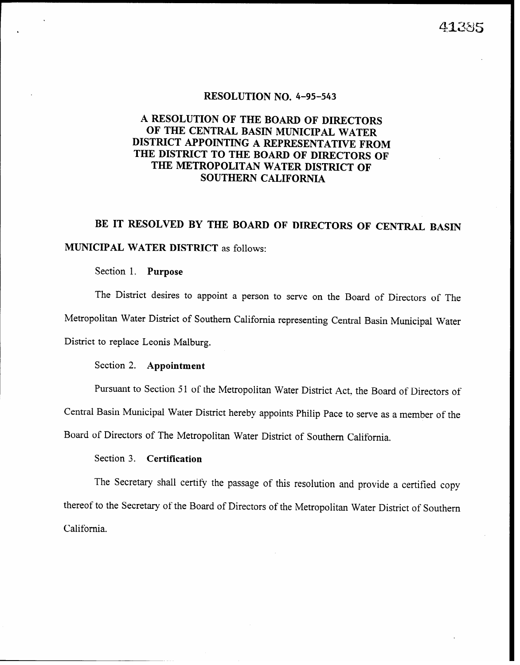#### RESOLUTION NO. 4-95-543

#### A RESOLUTION OF THE BOARD OF DIRECTORS OF THE CENTRAL BASIN MUNICIPAL WATER DISTRICT APPOINTING A REPRESENTATIVE FROM THE DISTRICT TO THE BOARD OF DIRECTORS OF THE METROPOLITAN WATER DISTRICT OF SOUTHERN CALIFORNIA

# BE IT RESOLVED BY THE BOARD OF DIRECTORS OF CENTRAL BASIN

#### MUNICIPAL WATER DISTRICT as follows:

#### Section 1. Purpose

The District desires to appoint a person to serve on the Board of Directors of The Metropolitan Water District of Southern California representing Central Basin Municipal Water District to replace Leonis Malburg.

#### Section 2. **Appointment**

Pursuant to Section 51 of the Metropolitan Water District Act, the Board of Directors of

Central Basin Municipal Water District hereby appoints Philip Pace to serve as a member of the

Board of Directors of The Metropolitan Water District of Southern California.

#### Section 3. Certification

The Secretary shall certify the passage of this resolution and provide a certified copy thereof to the Secretary of the Board of Directors of the Metropolitan Water District of Southern California.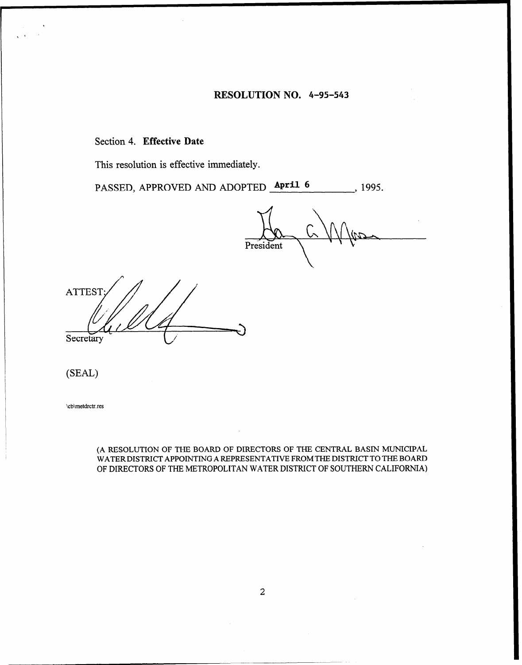#### RESOLUTION NO. 4-95-543

#### Section 4. Effective Date

This resolution is effective immediately.

PASSED, APPROVED AND ADOPTED **April 6** , 1995.

President

**ATTEST** Secretary

(SEAL)

\cb\metdrctr.res

(A RESOLUTION OF THE BOARD OF DIRECTORS OF THE CENTRAL BASIN MUNICIPAL WATERDISTRICT APPOINTING A REPRESENTATIVE FROMTHE DISTRICT TO THE BOARD OF DIRECTORS OF THE METROPOLITAN WATER DISTRICT OF SOUTHERN CALIFORNIA)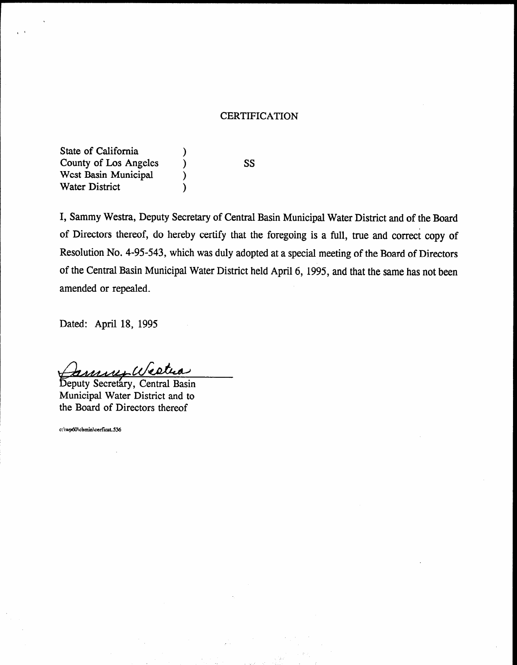#### CERTIFICATION

State of California (1) County of Los Angeles ) West Basin Municipal (b) Water District (1)

ss

I, Sammy Westra, Deputy Secretary of Central Basin Municipal Water District and of the Board of Directors thereof, do hereby certify that the foregoing is a full, true and correct copy of Resolution No. 4-95-543, which was duly adopted at a special meeting of the Board of Directors of the Central Basin Municipal Water District held April 6, 1995, and that the same has not been amended or repealed.

Dated: April 18, 1995

<u>muer West</u>ua

Deputy Secretary, Central Basin<br>Municipal Water District and to the Board of Directors thereof

c:\wp60\cbmin\cerficat.536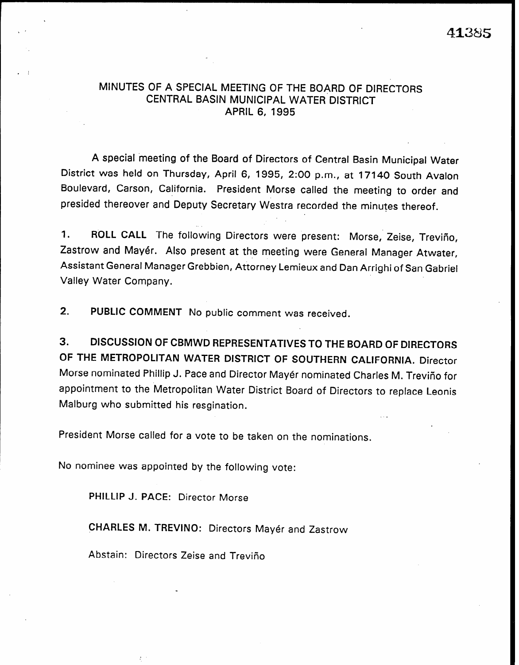41385

#### MINUTES OF A SPECIAL MEETING OF THE BOARD OF DIRECTORS CENTRAL BASIN MUNICIPAL WATER DISTRICT APRIL 6, 1995

A special 'meeting of the Board of Directors of Central Basin Municipal Water District was held on Thursday, April 6, 1995, 2:00 p.m., at 17140 South Avalon Boulevard, Carson, California. President Morse called the meeting to order and presided thereover and Deputy Secretary Westra recorded the minutes thereof.

1. ROLL CALL The following Directors were present: Morse, Zeise, Trevifio, Zastrow and Mayer. Also present at the meeting were General Manager Atwater, Assistant General Manager Grebbien, Attorney Lemieux and Dan Arrighi of San Gabriel Valley Water Company.

2. PUBLIC COMMENT No public comment was received.

3. DISCUSSION OF CBMWD REPRESENTATIVES TO THE BOARD OF DIRECTORS OF THE METROPOLITAN WATER DISTRICT OF SOUTHERN CALIFORNIA. Director Morse nominated Phillip J. Pace and Director Mayer nominated Charles M. Trevifio for appointment to the Metropolitan Water District Board of Directors to replace Leonis Malburg who submitted his resgination.

President Morse called for a vote to be taken on the nominations.

No nominee was appointed by the following vote:

PHILLIP J. PACE: Director Morse

CHARLES M. TREVINO: Directors Mayer and Zastrow

Abstain: Directors Zeise and Trevifio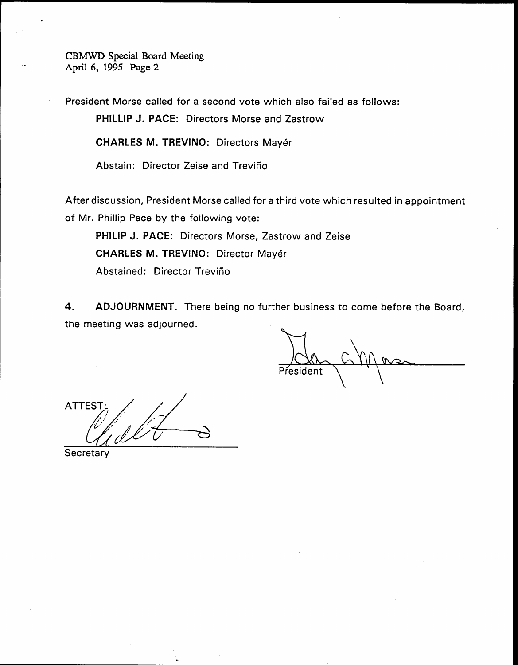CBMWD Special Board Meeting April 6, 1995 Page 2

President Morse called for a second vote which also failed as follows:

PHILLIP J. PACE: Directors Morse and Zastrow

CHARLES M. TREVINO: Directors Mayer

Abstain: Director Zeise and Treviño

After discussion, President Morse called for a third vote which resulted in appointment of Mr. Phillip Pace by the following vote:

PHILIP J. PACE: Directors Morse, Zastrow and Zeise CHARLES M. TREVINO: Director Mayer Abstained: Director Trevifio

4. ADJOURNMENT. There being no further business to come before the Board, the meeting was adjourned.

President

**ATTES** 

Secretary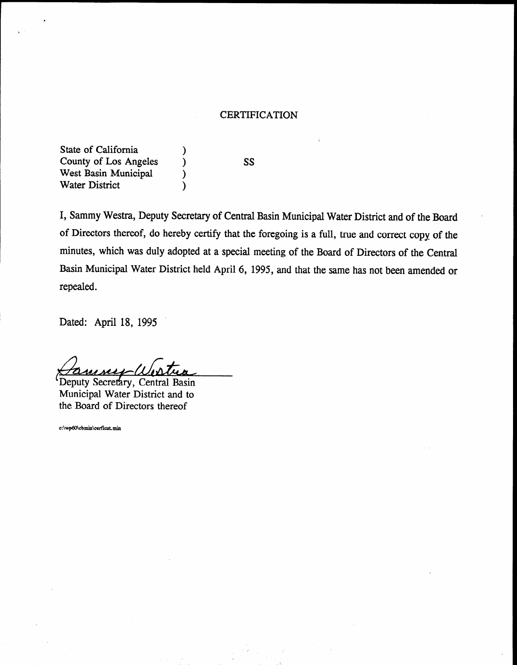#### CERTIFICATION

State of California County of Los Angeles West Basin Municipal Water District

ss

 $\lambda$  $\lambda$  $\mathcal Y$  $\mathcal{E}$ 

I, Sammy Westra, Deputy Secretary of Central Basin Municipal Water District and of the Board of Directors thereof, do hereby certify that the foregoing is a full, true and correct copy of the minutes, which was duly adopted at a special meeting of the Board of Directors of the Central Basin Municipal Water District held April 6, 1995, and that the same has not been amended or repealed.

Dated: April 18, 1995

Deputy Secretary, Central Basin<br>Municipal Water District and to the Board of Directors thereof

c:\wp60\cbmin\cerficat.min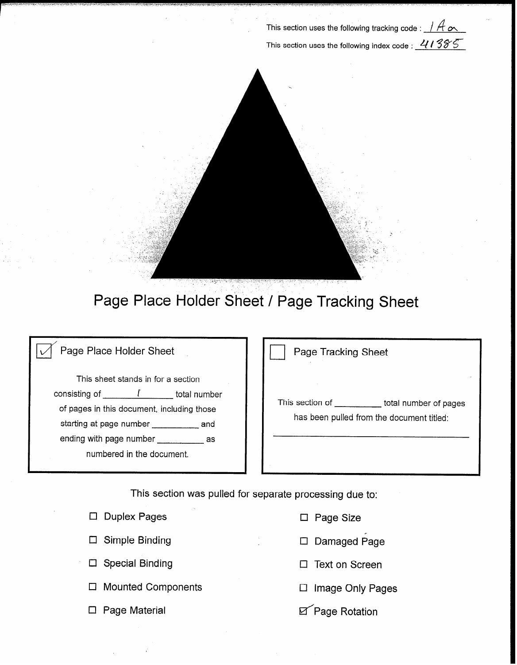This section uses the following tracking code :  $\#$  ox This section uses the following index code :  $41385$ 



## Page Place Holder Sheet / Page Tracking Sheet

### Page Place Holder Sheet

This sheet stands in for a section consisting of  $\mathcal{I}$  total number of pages in this document, including those starting at page number \_\_\_\_\_\_\_\_\_\_ and ending with page number \_\_\_\_\_\_\_\_\_\_\_\_ as numbered in the document.

Page Tracking Sheet

This section of \_\_\_\_\_\_\_\_\_\_ total number of pages has been pulled from the document titled:

This section was pulled for separate processing due to:

|        | $\Box$ Duplex Pages    |
|--------|------------------------|
|        | $\Box$ Simple Binding  |
|        | $\Box$ Special Binding |
| $\Box$ | <b>Mounted Compon</b>  |
|        | a a a - A A a ta cia   |

- $\square$  Page Size
- El Simple Binding El Damaged Page
- $\Box$  Text on Screen
- ents Cl Image Only Pages
- Page Material **Page Rotation**